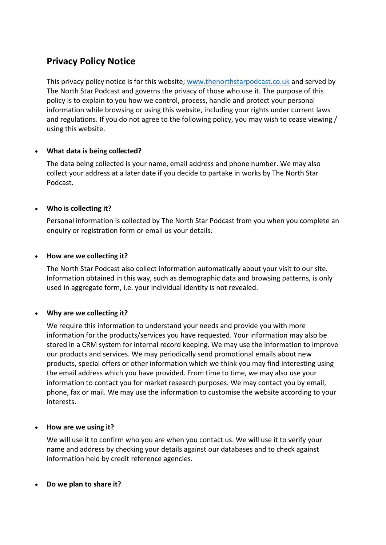# **Privacy Policy Notice**

This privacy policy notice is for this website; [www.thenorthstarpodcast.co.uk](http://www.thenorthstarpodcast.co.uk/) and served by The North Star Podcast and governs the privacy of those who use it. The purpose of this policy is to explain to you how we control, process, handle and protect your personal information while browsing or using this website, including your rights under current laws and regulations. If you do not agree to the following policy, you may wish to cease viewing / using this website.

# • **What data is being collected?**

The data being collected is your name, email address and phone number. We may also collect your address at a later date if you decide to partake in works by The North Star Podcast.

# • **Who is collecting it?**

Personal information is collected by The North Star Podcast from you when you complete an enquiry or registration form or email us your details.

# • **How are we collecting it?**

The North Star Podcast also collect information automatically about your visit to our site. Information obtained in this way, such as demographic data and browsing patterns, is only used in aggregate form, i.e. your individual identity is not revealed.

# • **Why are we collecting it?**

We require this information to understand your needs and provide you with more information for the products/services you have requested. Your information may also be stored in a CRM system for internal record keeping. We may use the information to improve our products and services. We may periodically send promotional emails about new products, special offers or other information which we think you may find interesting using the email address which you have provided. From time to time, we may also use your information to contact you for market research purposes. We may contact you by email, phone, fax or mail. We may use the information to customise the website according to your interests.

# • **How are we using it?**

We will use it to confirm who you are when you contact us. We will use it to verify your name and address by checking your details against our databases and to check against information held by credit reference agencies.

#### • **Do we plan to share it?**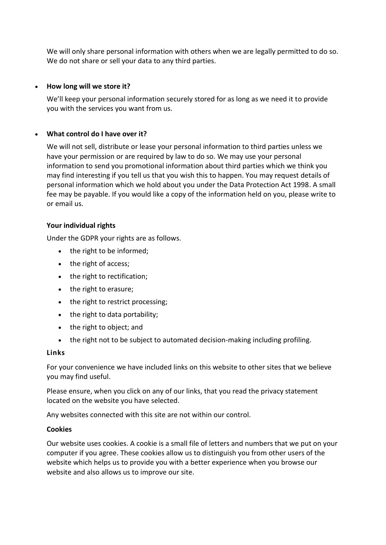We will only share personal information with others when we are legally permitted to do so. We do not share or sell your data to any third parties.

## • **How long will we store it?**

We'll keep your personal information securely stored for as long as we need it to provide you with the services you want from us.

## • **What control do I have over it?**

We will not sell, distribute or lease your personal information to third parties unless we have your permission or are required by law to do so. We may use your personal information to send you promotional information about third parties which we think you may find interesting if you tell us that you wish this to happen. You may request details of personal information which we hold about you under the Data Protection Act 1998. A small fee may be payable. If you would like a copy of the information held on you, please write to or email us.

## **Your individual rights**

Under the GDPR your rights are as follows.

- the right to be informed;
- the right of access;
- the right to rectification;
- the right to erasure;
- the right to restrict processing;
- the right to data portability;
- the right to object; and
- the right not to be subject to automated decision-making including profiling.

#### **Links**

For your convenience we have included links on this website to other sites that we believe you may find useful.

Please ensure, when you click on any of our links, that you read the privacy statement located on the website you have selected.

Any websites connected with this site are not within our control.

# **Cookies**

Our website uses cookies. A cookie is a small file of letters and numbers that we put on your computer if you agree. These cookies allow us to distinguish you from other users of the website which helps us to provide you with a better experience when you browse our website and also allows us to improve our site.